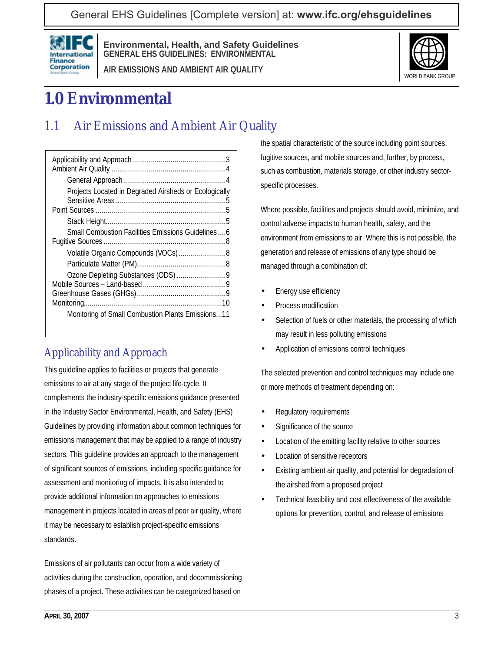General EHS Guidelines [Complete version] at: **www.ifc.org/ehsguidelines**



**Environmental, Health, and Safety Guidelines GENERAL EHS GUIDELINES: ENVIRONMENTAL**

**AIR EMISSIONS AND AMBIENT AIR QUALITY**



# **1.0 Environmental**

# 1.1 Air Emissions and Ambient Air Quality

| Projects Located in Degraded Airsheds or Ecologically |
|-------------------------------------------------------|
|                                                       |
|                                                       |
| Small Combustion Facilities Emissions Guidelines6     |
| Volatile Organic Compounds (VOCs)8                    |
|                                                       |
|                                                       |
|                                                       |
|                                                       |
|                                                       |
| Monitoring of Small Combustion Plants Emissions11     |

# Applicability and Approach

This guideline applies to facilities or projects that generate emissions to air at any stage of the project life-cycle. It complements the industry-specific emissions guidance presented in the Industry Sector Environmental, Health, and Safety (EHS) Guidelines by providing information about common techniques for emissions management that may be applied to a range of industry sectors. This guideline provides an approach to the management of significant sources of emissions, including specific guidance for assessment and monitoring of impacts. It is also intended to provide additional information on approaches to emissions management in projects located in areas of poor air quality, where it may be necessary to establish project-specific emissions standards.

Emissions of air pollutants can occur from a wide variety of activities during the construction, operation, and decommissioning phases of a project. These activities can be categorized based on the spatial characteristic of the source including point sources, fugitive sources, and mobile sources and, further, by process, such as combustion, materials storage, or other industry sectorspecific processes.

Where possible, facilities and projects should avoid, minimize, and control adverse impacts to human health, safety, and the environment from emissions to air. Where this is not possible, the generation and release of emissions of any type should be managed through a combination of:

- Energy use efficiency
- Process modification
- Selection of fuels or other materials, the processing of which may result in less polluting emissions
- Application of emissions control techniques

The selected prevention and control techniques may include one or more methods of treatment depending on:

- Regulatory requirements
- Significance of the source
- Location of the emitting facility relative to other sources
- Location of sensitive receptors
- Existing ambient air quality, and potential for degradation of the airshed from a proposed project
- Technical feasibility and cost effectiveness of the available options for prevention, control, and release of emissions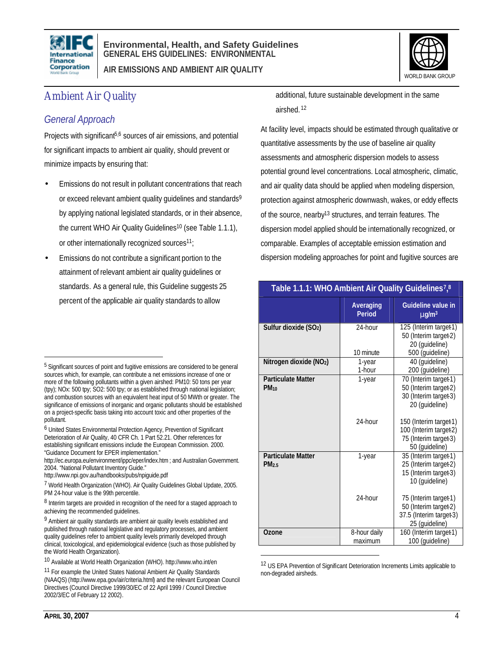



# Ambient Air Quality

#### *General Approach*

Projects with significant<sup>5,6</sup> sources of air emissions, and potential for significant impacts to ambient air quality, should prevent or minimize impacts by ensuring that:

- Emissions do not result in pollutant concentrations that reach or exceed relevant ambient quality guidelines and standards<sup>9</sup> by applying national legislated standards, or in their absence, the current WHO Air Quality Guidelines<sup>10</sup> (see Table 1.1.1), or other internationally recognized sources<sup>11</sup>;
- Emissions do not contribute a significant portion to the attainment of relevant ambient air quality guidelines or standards. As a general rule, this Guideline suggests 25 percent of the applicable air quality standards to allow

http://ec.europa.eu/environment/ippc/eper/index.htm; and Australian Government. 2004. "National Pollutant Inventory Guide."

http://www.npi.gov.au/handbooks/pubs/npiguide.pdf

additional, future sustainable development in the same airshed. <sup>12</sup>

At facility level, impacts should be estimated through qualitative or quantitative assessments by the use of baseline air quality assessments and atmospheric dispersion models to assess potential ground level concentrations. Local atmospheric, climatic, and air quality data should be applied when modeling dispersion, protection against atmospheric downwash, wakes, or eddy effects of the source, nearby13 structures, and terrain features. The dispersion model applied should be internationally recognized, or comparable. Examples of acceptable emission estimation and dispersion modeling approaches for point and fugitive sources are

| Table 1.1.1: WHO Ambient Air Quality Guidelines <sup>7</sup> , <sup>8</sup> |                            |                                                                                             |  |  |
|-----------------------------------------------------------------------------|----------------------------|---------------------------------------------------------------------------------------------|--|--|
|                                                                             | Averaging<br><b>Period</b> | Guideline value in<br>mg/m <sup>3</sup>                                                     |  |  |
| Sulfur dioxide (SO <sub>2</sub> )                                           | 24-hour<br>10 minute       | 125 (Interim target1)<br>50 (Interim target-2)<br>20 (guideline)<br>500 (guideline)         |  |  |
| Nitrogen dioxide (NO2)                                                      | 1-year<br>1-hour           | 40 (guideline)<br>200 (guideline)                                                           |  |  |
| <b>Particulate Matter</b><br>$PM_{10}$                                      | 1-year                     | 70 (Interim target-1)<br>50 (Interim target-2)<br>30 (Interim target-3)<br>20 (guideline)   |  |  |
|                                                                             | 24-hour                    | 150 (Interim target1)<br>100 (Interim target2)<br>75 (Interim target-3)<br>50 (guideline)   |  |  |
| <b>Particulate Matter</b><br>PM <sub>2.5</sub>                              | 1-year                     | 35 (Interim target-1)<br>25 (Interim target-2)<br>15 (Interim target-3)<br>10 (guideline)   |  |  |
|                                                                             | 24-hour                    | 75 (Interim target-1)<br>50 (Interim target-2)<br>37.5 (Interim target-3)<br>25 (guideline) |  |  |
| Ozone                                                                       | 8-hour daily<br>maximum    | 160 (Interim target1)<br>100 (guideline)                                                    |  |  |

12 US EPA Prevention of Significant Deterioration Increments Limits applicable to non-degraded airsheds.

l

<sup>&</sup>lt;sup>5</sup> Significant sources of point and fugitive emissions are considered to be general sources which, for example, can contribute a net emissions increase of one or more of the following pollutants within a given airshed: PM10: 50 tons per year (tpy); NOx: 500 tpy; SO2: 500 tpy; or as established through national legislation; and combustion sources with an equivalent heat input of 50 MWth or greater. The significance of emissions of inorganic and organic pollutants should be established on a project-specific basis taking into account toxic and other properties of the pollutant.

<sup>&</sup>lt;sup>6</sup> United States Environmental Protection Agency, Prevention of Significant Deterioration of Air Quality, 40 CFR Ch. 1 Part 52.21. Other references for establishing significant emissions include the European Commission. 2000. "Guidance Document for EPER implementation."

<sup>&</sup>lt;sup>7</sup> World Health Organization (WHO). Air Quality Guidelines Global Update, 2005. PM 24-hour value is the 99th percentile.

<sup>&</sup>lt;sup>8</sup> Interim targets are provided in recognition of the need for a staged approach to achieving the recommended guidelines.

<sup>&</sup>lt;sup>9</sup> Ambient air quality standards are ambient air quality levels established and published through national legislative and regulatory processes, and ambient quality guidelines refer to ambient quality levels primarily developed through clinical, toxicological, and epidemiological evidence (such as those published by the World Health Organization).

<sup>10</sup> Available at World Health Organization (WHO). http://www.who.int/en

<sup>11</sup> For example the United States National Ambient Air Quality Standards (NAAQS) (http://www.epa.gov/air/criteria.html) and the relevant European Council Directives (Council Directive 1999/30/EC of 22 April 1999 / Council Directive 2002/3/EC of February 12 2002).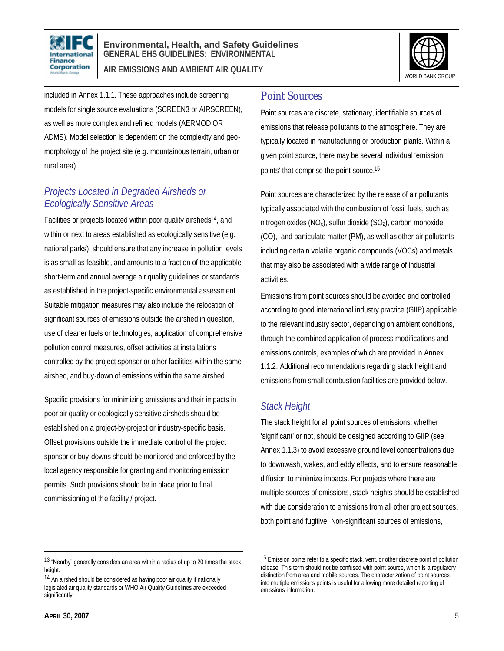

**Environmental, Health, and Safety Guidelines GENERAL EHS GUIDELINES: ENVIRONMENTAL AIR EMISSIONS AND AMBIENT AIR QUALITY**



included in Annex 1.1.1. These approaches include screening models for single source evaluations (SCREEN3 or AIRSCREEN), as well as more complex and refined models (AERMOD OR ADMS). Model selection is dependent on the complexity and geomorphology of the project site (e.g. mountainous terrain, urban or rural area).

#### *Projects Located in Degraded Airsheds or Ecologically Sensitive Areas*

Facilities or projects located within poor quality airsheds14, and within or next to areas established as ecologically sensitive (e.g. national parks), should ensure that any increase in pollution levels is as small as feasible, and amounts to a fraction of the applicable short-term and annual average air quality guidelines or standards as established in the project-specific environmental assessment. Suitable mitigation measures may also include the relocation of significant sources of emissions outside the airshed in question, use of cleaner fuels or technologies, application of comprehensive pollution control measures, offset activities at installations controlled by the project sponsor or other facilities within the same airshed, and buy-down of emissions within the same airshed.

Specific provisions for minimizing emissions and their impacts in poor air quality or ecologically sensitive airsheds should be established on a project-by-project or industry-specific basis. Offset provisions outside the immediate control of the project sponsor or buy-downs should be monitored and enforced by the local agency responsible for granting and monitoring emission permits. Such provisions should be in place prior to final commissioning of the facility / project.

#### Point Sources

Point sources are discrete, stationary, identifiable sources of emissions that release pollutants to the atmosphere. They are typically located in manufacturing or production plants. Within a given point source, there may be several individual 'emission points' that comprise the point source.<sup>15</sup>

Point sources are characterized by the release of air pollutants typically associated with the combustion of fossil fuels, such as nitrogen oxides ( $NO_x$ ), sulfur dioxide ( $SO_2$ ), carbon monoxide (CO), and particulate matter (PM), as well as other air pollutants including certain volatile organic compounds (VOCs) and metals that may also be associated with a wide range of industrial activities.

Emissions from point sources should be avoided and controlled according to good international industry practice (GIIP) applicable to the relevant industry sector, depending on ambient conditions, through the combined application of process modifications and emissions controls, examples of which are provided in Annex 1.1.2. Additional recommendations regarding stack height and emissions from small combustion facilities are provided below.

#### *Stack Height*

 $\overline{a}$ 

The stack height for all point sources of emissions, whether 'significant' or not, should be designed according to GIIP (see Annex 1.1.3) to avoid excessive ground level concentrations due to downwash, wakes, and eddy effects, and to ensure reasonable diffusion to minimize impacts. For projects where there are multiple sources of emissions, stack heights should be established with due consideration to emissions from all other project sources, both point and fugitive. Non-significant sources of emissions,

<sup>13</sup> "Nearby" generally considers an area within a radius of up to 20 times the stack height.

<sup>&</sup>lt;sup>14</sup> An airshed should be considered as having poor air quality if nationally legislated air quality standards or WHO Air Quality Guidelines are exceeded significantly.

<sup>&</sup>lt;sup>15</sup> Emission points refer to a specific stack, vent, or other discrete point of pollution release. This term should not be confused with point source, which is a regulatory distinction from area and mobile sources. The characterization of point sources into multiple emissions points is useful for allowing more detailed reporting of emissions information.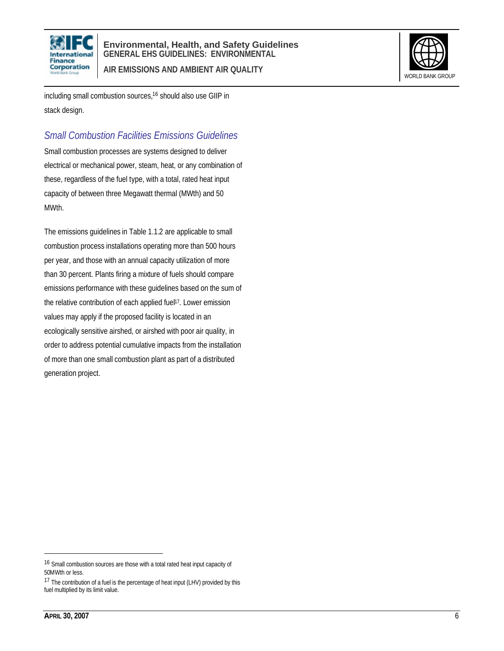

**AIR EMISSIONS AND AMBIENT AIR QUALITY**



including small combustion sources,<sup>16</sup> should also use GIIP in stack design.

#### *Small Combustion Facilities Emissions Guidelines*

Small combustion processes are systems designed to deliver electrical or mechanical power, steam, heat, or any combination of these, regardless of the fuel type, with a total, rated heat input capacity of between three Megawatt thermal (MWth) and 50 MWth.

The emissions guidelines in Table 1.1.2 are applicable to small combustion process installations operating more than 500 hours per year, and those with an annual capacity utilization of more than 30 percent. Plants firing a mixture of fuels should compare emissions performance with these guidelines based on the sum of the relative contribution of each applied fuel<sup>17</sup>. Lower emission values may apply if the proposed facility is located in an ecologically sensitive airshed, or airshed with poor air quality, in order to address potential cumulative impacts from the installation of more than one small combustion plant as part of a distributed generation project.

<sup>16</sup> Small combustion sources are those with a total rated heat input capacity of 50MWth or less.

<sup>&</sup>lt;sup>17</sup> The contribution of a fuel is the percentage of heat input (LHV) provided by this fuel multiplied by its limit value.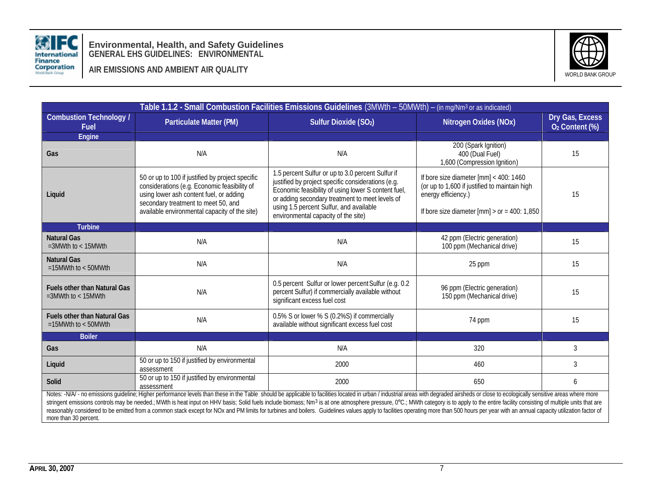



**AIR EMISSIONS AND AMBIENT AIR QUALITY**

| Table 1.1.2 - Small Combustion Facilities Emissions Guidelines (3MWth - 50MWth) - (in mg/Nm <sup>3</sup> or as indicated)                                                                                                                                                                                                                                                                                                                                                                                                                                                                                                                                                                                                            |                                                                                                                                                                                                                                     |                                                                                                                                                                                                                                                                                                     |                                                                                                                                                                                 |                                               |  |  |
|--------------------------------------------------------------------------------------------------------------------------------------------------------------------------------------------------------------------------------------------------------------------------------------------------------------------------------------------------------------------------------------------------------------------------------------------------------------------------------------------------------------------------------------------------------------------------------------------------------------------------------------------------------------------------------------------------------------------------------------|-------------------------------------------------------------------------------------------------------------------------------------------------------------------------------------------------------------------------------------|-----------------------------------------------------------------------------------------------------------------------------------------------------------------------------------------------------------------------------------------------------------------------------------------------------|---------------------------------------------------------------------------------------------------------------------------------------------------------------------------------|-----------------------------------------------|--|--|
| <b>Combustion Technology /</b><br>Fuel                                                                                                                                                                                                                                                                                                                                                                                                                                                                                                                                                                                                                                                                                               | <b>Particulate Matter (PM)</b>                                                                                                                                                                                                      | Sulfur Dioxide (SO2)                                                                                                                                                                                                                                                                                | <b>Nitrogen Oxides (NOx)</b>                                                                                                                                                    | Dry Gas, Excess<br>O <sub>2</sub> Content (%) |  |  |
| Engine                                                                                                                                                                                                                                                                                                                                                                                                                                                                                                                                                                                                                                                                                                                               |                                                                                                                                                                                                                                     |                                                                                                                                                                                                                                                                                                     |                                                                                                                                                                                 |                                               |  |  |
| Gas                                                                                                                                                                                                                                                                                                                                                                                                                                                                                                                                                                                                                                                                                                                                  | N/A                                                                                                                                                                                                                                 | N/A                                                                                                                                                                                                                                                                                                 | 200 (Spark Ignition)<br>400 (Dual Fuel)<br>1,600 (Compression Ignition)                                                                                                         | 15                                            |  |  |
| Liquid                                                                                                                                                                                                                                                                                                                                                                                                                                                                                                                                                                                                                                                                                                                               | 50 or up to 100 if justified by project specific<br>considerations (e.g. Economic feasibility of<br>using lower ash content fuel, or adding<br>secondary treatment to meet 50, and<br>available environmental capacity of the site) | 1.5 percent Sulfur or up to 3.0 percent Sulfur if<br>justified by project specific considerations (e.g.<br>Economic feasibility of using lower S content fuel,<br>or adding secondary treatment to meet levels of<br>using 1.5 percent Sulfur, and available<br>environmental capacity of the site) | If bore size diameter [mm] < 400: 1460<br>(or up to 1,600 if justified to maintain high<br>energy efficiency.)<br>If bore size diameter $\text{[mm]} > \text{or} = 400$ : 1,850 | 15                                            |  |  |
| <b>Turbine</b>                                                                                                                                                                                                                                                                                                                                                                                                                                                                                                                                                                                                                                                                                                                       |                                                                                                                                                                                                                                     |                                                                                                                                                                                                                                                                                                     |                                                                                                                                                                                 |                                               |  |  |
| <b>Natural Gas</b><br>$=3$ MWth to < 15MWth                                                                                                                                                                                                                                                                                                                                                                                                                                                                                                                                                                                                                                                                                          | N/A                                                                                                                                                                                                                                 | N/A                                                                                                                                                                                                                                                                                                 | 42 ppm (Electric generation)<br>100 ppm (Mechanical drive)                                                                                                                      | 15                                            |  |  |
| <b>Natural Gas</b><br>$=15$ MWth to < 50MWth                                                                                                                                                                                                                                                                                                                                                                                                                                                                                                                                                                                                                                                                                         | N/A                                                                                                                                                                                                                                 | N/A                                                                                                                                                                                                                                                                                                 | 25 ppm                                                                                                                                                                          | 15                                            |  |  |
| <b>Fuels other than Natural Gas</b><br>$=3$ MWth to $< 15$ MWth                                                                                                                                                                                                                                                                                                                                                                                                                                                                                                                                                                                                                                                                      | N/A                                                                                                                                                                                                                                 | 0.5 percent Sulfur or lower percent Sulfur (e.g. 0.2<br>percent Sulfur) if commercially available without<br>significant excess fuel cost                                                                                                                                                           | 96 ppm (Electric generation)<br>150 ppm (Mechanical drive)                                                                                                                      | 15                                            |  |  |
| <b>Fuels other than Natural Gas</b><br>$=15$ MWth to $< 50$ MWth                                                                                                                                                                                                                                                                                                                                                                                                                                                                                                                                                                                                                                                                     | N/A                                                                                                                                                                                                                                 | 0.5% S or lower % S (0.2%S) if commercially<br>available without significant excess fuel cost                                                                                                                                                                                                       | 74 ppm                                                                                                                                                                          | 15                                            |  |  |
| <b>Boiler</b>                                                                                                                                                                                                                                                                                                                                                                                                                                                                                                                                                                                                                                                                                                                        |                                                                                                                                                                                                                                     |                                                                                                                                                                                                                                                                                                     |                                                                                                                                                                                 |                                               |  |  |
| Gas                                                                                                                                                                                                                                                                                                                                                                                                                                                                                                                                                                                                                                                                                                                                  | N/A                                                                                                                                                                                                                                 | N/A                                                                                                                                                                                                                                                                                                 | 320                                                                                                                                                                             | 3                                             |  |  |
| Liquid                                                                                                                                                                                                                                                                                                                                                                                                                                                                                                                                                                                                                                                                                                                               | 50 or up to 150 if justified by environmental<br>assessment                                                                                                                                                                         | 2000                                                                                                                                                                                                                                                                                                | 460                                                                                                                                                                             | 3                                             |  |  |
| <b>Solid</b>                                                                                                                                                                                                                                                                                                                                                                                                                                                                                                                                                                                                                                                                                                                         | 50 or up to 150 if justified by environmental<br>assessment                                                                                                                                                                         | 2000                                                                                                                                                                                                                                                                                                | 650                                                                                                                                                                             | 6                                             |  |  |
| Notes: -N/A/ - no emissions quideline; Higher performance levels than these in the Table should be applicable to facilities located in urban / industrial areas with degraded airsheds or close to ecologically sensitive area<br>stringent emissions controls may be needed.; MWth is heat input on HHV basis; Solid fuels include biomass; Nm <sup>3</sup> is at one atmosphere pressure, O°C.; MWth category is to apply to the entire facility consisting of multiple<br>reasonably considered to be emitted from a common stack except for NOx and PM limits for turbines and boilers. Guidelines values apply to facilities operating more than 500 hours per year with an annual capacity utilizatio<br>more than 30 percent. |                                                                                                                                                                                                                                     |                                                                                                                                                                                                                                                                                                     |                                                                                                                                                                                 |                                               |  |  |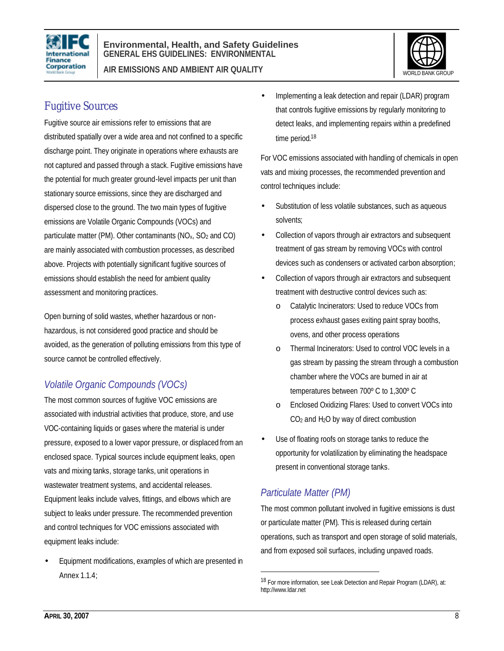





### Fugitive Sources

Fugitive source air emissions refer to emissions that are distributed spatially over a wide area and not confined to a specific discharge point. They originate in operations where exhausts are not captured and passed through a stack. Fugitive emissions have the potential for much greater ground-level impacts per unit than stationary source emissions, since they are discharged and dispersed close to the ground. The two main types of fugitive emissions are Volatile Organic Compounds (VOCs) and particulate matter (PM). Other contaminants ( $NO<sub>x</sub>$ ,  $SO<sub>2</sub>$  and CO) are mainly associated with combustion processes, as described above. Projects with potentially significant fugitive sources of emissions should establish the need for ambient quality assessment and monitoring practices.

Open burning of solid wastes, whether hazardous or nonhazardous, is not considered good practice and should be avoided, as the generation of polluting emissions from this type of source cannot be controlled effectively.

## *Volatile Organic Compounds (VOCs)*

The most common sources of fugitive VOC emissions are associated with industrial activities that produce, store, and use VOC-containing liquids or gases where the material is under pressure, exposed to a lower vapor pressure, or displaced from an enclosed space. Typical sources include equipment leaks, open vats and mixing tanks, storage tanks, unit operations in wastewater treatment systems, and accidental releases. Equipment leaks include valves, fittings, and elbows which are subject to leaks under pressure. The recommended prevention and control techniques for VOC emissions associated with equipment leaks include:

• Equipment modifications, examples of which are presented in Annex 1.1.4;

• Implementing a leak detection and repair (LDAR) program that controls fugitive emissions by regularly monitoring to detect leaks, and implementing repairs within a predefined time period.<sup>18</sup>

For VOC emissions associated with handling of chemicals in open vats and mixing processes, the recommended prevention and control techniques include:

- Substitution of less volatile substances, such as aqueous solvents;
- Collection of vapors through air extractors and subsequent treatment of gas stream by removing VOCs with control devices such as condensers or activated carbon absorption;
- Collection of vapors through air extractors and subsequent treatment with destructive control devices such as:
	- Catalytic Incinerators: Used to reduce VOCs from process exhaust gases exiting paint spray booths, ovens, and other process operations
	- o Thermal Incinerators: Used to control VOC levels in a gas stream by passing the stream through a combustion chamber where the VOCs are burned in air at temperatures between 700º C to 1,300º C
	- Enclosed Oxidizing Flares: Used to convert VOCs into CO2 and H2O by way of direct combustion
- Use of floating roofs on storage tanks to reduce the opportunity for volatilization by eliminating the headspace present in conventional storage tanks.

## *Particulate Matter (PM)*

 $\overline{a}$ 

The most common pollutant involved in fugitive emissions is dust or particulate matter (PM). This is released during certain operations, such as transport and open storage of solid materials, and from exposed soil surfaces, including unpaved roads.

<sup>&</sup>lt;sup>18</sup> For more information, see Leak Detection and Repair Program (LDAR), at: http://www.ldar.net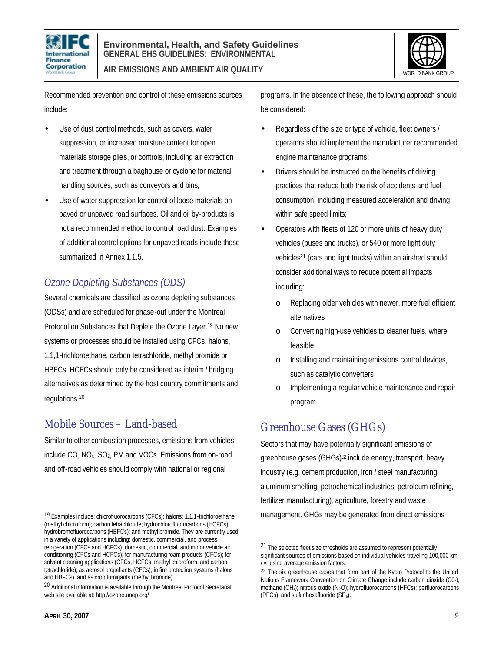



Recommended prevention and control of these emissions sources include:

- Use of dust control methods, such as covers, water suppression, or increased moisture content for open materials storage piles, or controls, including air extraction and treatment through a baghouse or cyclone for material handling sources, such as conveyors and bins;
- Use of water suppression for control of loose materials on paved or unpaved road surfaces. Oil and oil by-products is not a recommended method to control road dust. Examples of additional control options for unpaved roads include those summarized in Annex 1.1.5.

#### *Ozone Depleting Substances (ODS)*

Several chemicals are classified as ozone depleting substances (ODSs) and are scheduled for phase-out under the Montreal Protocol on Substances that Deplete the Ozone Layer.<sup>19</sup> No new systems or processes should be installed using CFCs, halons, 1,1,1-trichloroethane, carbon tetrachloride, methyl bromide or HBFCs. HCFCs should only be considered as interim / bridging alternatives as determined by the host country commitments and regulations.<sup>20</sup>

## Mobile Sources – Land-based

Similar to other combustion processes, emissions from vehicles include CO, NOx, SO2, PM and VOCs. Emissions from on-road and off-road vehicles should comply with national or regional

programs. In the absence of these, the following approach should be considered:

- Regardless of the size or type of vehicle, fleet owners / operators should implement the manufacturer recommended engine maintenance programs;
- Drivers should be instructed on the benefits of driving practices that reduce both the risk of accidents and fuel consumption, including measured acceleration and driving within safe speed limits;
- Operators with fleets of 120 or more units of heavy duty vehicles (buses and trucks), or 540 or more light duty vehicles<sup>21</sup> (cars and light trucks) within an airshed should consider additional ways to reduce potential impacts including:
	- o Replacing older vehicles with newer, more fuel efficient alternatives
	- o Converting high-use vehicles to cleaner fuels, where feasible
	- Installing and maintaining emissions control devices, such as catalytic converters
	- Implementing a regular vehicle maintenance and repair program

## Greenhouse Gases (GHGs)

 $\overline{a}$ 

Sectors that may have potentially significant emissions of greenhouse gases (GHGs)22 include energy, transport, heavy industry (e.g. cement production, iron / steel manufacturing, aluminum smelting, petrochemical industries, petroleum refining, fertilizer manufacturing), agriculture, forestry and waste management. GHGs may be generated from direct emissions

l

<sup>19</sup> Examples include: chlorofluorocarbons (CFCs); halons; 1,1,1-trichloroethane (methyl chloroform); carbon tetrachloride; hydrochlorofluorocarbons (HCFCs); hydrobromofluorocarbons (HBFCs); and methyl bromide. They are currently used in a variety of applications including: domestic, commercial, and process refrigeration (CFCs and HCFCs); domestic, commercial, and motor vehicle air conditioning (CFCs and HCFCs); for manufacturing foam products (CFCs); for solvent cleaning applications (CFCs, HCFCs, methyl chloroform, and carbon tetrachloride); as aerosol propellants (CFCs); in fire protection systems (halons and HBFCs); and as crop fumigants (methyl bromide).

<sup>&</sup>lt;sup>20</sup> Additional information is available through the Montreal Protocol Secretariat web site available at: http://ozone.unep.org/

<sup>&</sup>lt;sup>21</sup> The selected fleet size thresholds are assumed to represent potentially significant sources of emissions based on individual vehicles traveling 100,000 km / yr using average emission factors.

<sup>&</sup>lt;sup>22</sup> The six greenhouse gases that form part of the Kyoto Protocol to the United Nations Framework Convention on Climate Change include carbon dioxide (CO<sub>2</sub>); methane (CH<sub>4</sub>); nitrous oxide (N<sub>2</sub>O); hydrofluorocarbons (HFCs); perfluorocarbons (PFCs); and sulfur hexafluoride (SF $_6$ ).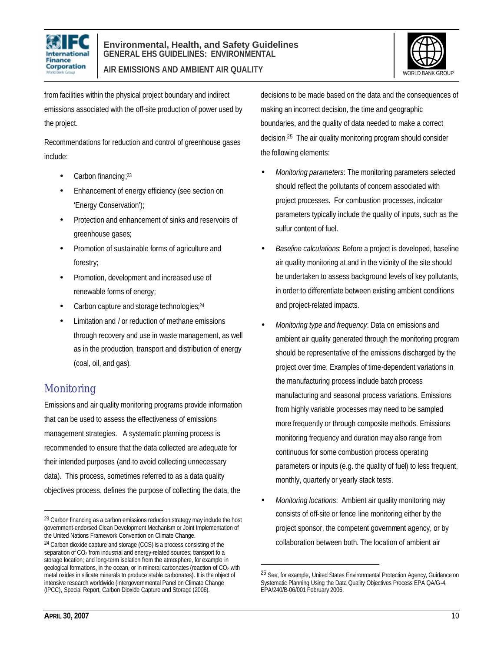



from facilities within the physical project boundary and indirect emissions associated with the off-site production of power used by the project.

Recommendations for reduction and control of greenhouse gases include:

- Carbon financing;<sup>23</sup>
- Enhancement of energy efficiency (see section on 'Energy Conservation');
- Protection and enhancement of sinks and reservoirs of greenhouse gases;
- Promotion of sustainable forms of agriculture and forestry;
- Promotion, development and increased use of renewable forms of energy;
- Carbon capture and storage technologies;<sup>24</sup>
- Limitation and / or reduction of methane emissions through recovery and use in waste management, as well as in the production, transport and distribution of energy (coal, oil, and gas).

# **Monitoring**

Emissions and air quality monitoring programs provide information that can be used to assess the effectiveness of emissions management strategies. A systematic planning process is recommended to ensure that the data collected are adequate for their intended purposes (and to avoid collecting unnecessary data). This process, sometimes referred to as a data quality objectives process, defines the purpose of collecting the data, the

decisions to be made based on the data and the consequences of making an incorrect decision, the time and geographic boundaries, and the quality of data needed to make a correct decision.25 The air quality monitoring program should consider the following elements:

- *Monitoring parameters*: The monitoring parameters selected should reflect the pollutants of concern associated with project processes. For combustion processes, indicator parameters typically include the quality of inputs, such as the sulfur content of fuel.
- *Baseline calculations*: Before a project is developed, baseline air quality monitoring at and in the vicinity of the site should be undertaken to assess background levels of key pollutants, in order to differentiate between existing ambient conditions and project-related impacts.
- *Monitoring type and frequency*: Data on emissions and ambient air quality generated through the monitoring program should be representative of the emissions discharged by the project over time. Examples of time-dependent variations in the manufacturing process include batch process manufacturing and seasonal process variations. Emissions from highly variable processes may need to be sampled more frequently or through composite methods. Emissions monitoring frequency and duration may also range from continuous for some combustion process operating parameters or inputs (e.g. the quality of fuel) to less frequent, monthly, quarterly or yearly stack tests.
- *Monitoring locations*: Ambient air quality monitoring may consists of off-site or fence line monitoring either by the project sponsor, the competent government agency, or by collaboration between both. The location of ambient air

 $\overline{a}$ 

 $23$  Carbon financing as a carbon emissions reduction strategy may include the host government-endorsed Clean Development Mechanism or Joint Implementation of the United Nations Framework Convention on Climate Change.

<sup>24</sup> Carbon dioxide capture and storage (CCS) is a process consisting of the separation of CO<sub>2</sub> from industrial and energy-related sources; transport to a storage location; and long-term isolation from the atmosphere, for example in geological formations, in the ocean, or in mineral carbonates (reaction of CO<sub>2</sub> with metal oxides in silicate minerals to produce stable carbonates). It is the object of intensive research worldwide (Intergovernmental Panel on Climate Change (IPCC), Special Report, Carbon Dioxide Capture and Storage (2006).

<sup>&</sup>lt;sup>25</sup> See, for example, United States Environmental Protection Agency, Guidance on Systematic Planning Using the Data Quality Objectives Process EPA QA/G-4, EPA/240/B-06/001 February 2006.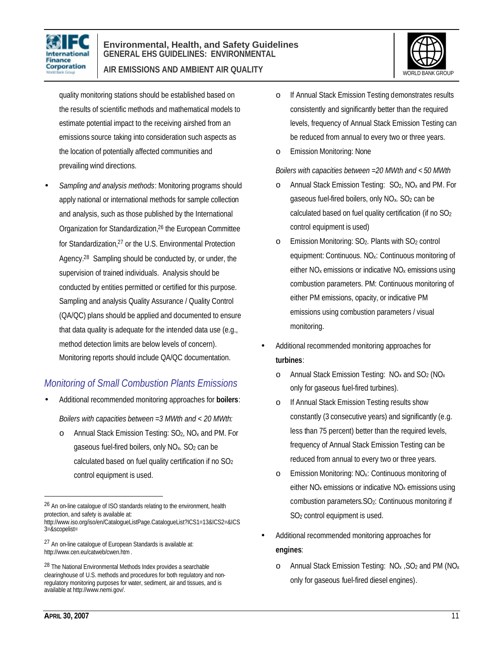



quality monitoring stations should be established based on the results of scientific methods and mathematical models to estimate potential impact to the receiving airshed from an emissions source taking into consideration such aspects as the location of potentially affected communities and prevailing wind directions.

• *Sampling and analysis methods*: Monitoring programs should apply national or international methods for sample collection and analysis, such as those published by the International Organization for Standardization,26 the European Committee for Standardization,27 or the U.S. Environmental Protection Agency.<sup>28</sup> Sampling should be conducted by, or under, the supervision of trained individuals. Analysis should be conducted by entities permitted or certified for this purpose. Sampling and analysis Quality Assurance / Quality Control (QA/QC) plans should be applied and documented to ensure that data quality is adequate for the intended data use (e.g., method detection limits are below levels of concern). Monitoring reports should include QA/QC documentation.

## *Monitoring of Small Combustion Plants Emissions*

- Additional recommended monitoring approaches for **boilers**: *Boilers with capacities between =3 MWth and < 20 MWth:*
	- o Annual Stack Emission Testing: SO2, NOx and PM. For gaseous fuel-fired boilers, only NO<sub>x</sub>. SO<sub>2</sub> can be calculated based on fuel quality certification if no SO<sup>2</sup> control equipment is used.
- o If Annual Stack Emission Testing demonstrates results consistently and significantly better than the required levels, frequency of Annual Stack Emission Testing can be reduced from annual to every two or three years.
- o Emission Monitoring: None

*Boilers with capacities between =20 MWth and < 50 MWth*

- o Annual Stack Emission Testing: SO2, NOx and PM. For gaseous fuel-fired boilers, only NO<sub>x</sub>. SO<sub>2</sub> can be calculated based on fuel quality certification (if no SO<sup>2</sup> control equipment is used)
- $\circ$  Emission Monitoring: SO<sub>2</sub>. Plants with SO<sub>2</sub> control equipment: Continuous. NO<sub>x</sub>: Continuous monitoring of either  $NO<sub>x</sub>$  emissions or indicative  $NO<sub>x</sub>$  emissions using combustion parameters. PM: Continuous monitoring of either PM emissions, opacity, or indicative PM emissions using combustion parameters / visual monitoring.
- Additional recommended monitoring approaches for **turbines**:
	- o Annual Stack Emission Testing: NOx and SO2 (NO<sup>x</sup> only for gaseous fuel-fired turbines).
	- o If Annual Stack Emission Testing results show constantly (3 consecutive years) and significantly (e.g. less than 75 percent) better than the required levels, frequency of Annual Stack Emission Testing can be reduced from annual to every two or three years.
	- o Emission Monitoring: NOx: Continuous monitoring of either NOx emissions or indicative NOx emissions using combustion parameters.SO2: Continuous monitoring if SO2 control equipment is used.
- Additional recommended monitoring approaches for **engines**:
	- o Annual Stack Emission Testing: NO<sup>x</sup> ,SO<sup>2</sup> and PM (NO<sup>x</sup> only for gaseous fuel-fired diesel engines).

l

<sup>26</sup> An on-line catalogue of ISO standards relating to the environment, health protection, and safety is available at:

http://www.iso.org/iso/en/CatalogueListPage.CatalogueList?ICS1=13&ICS2=&ICS 3=&scopelist=

 $27$  An on-line catalogue of European Standards is available at: http://www.cen.eu/catweb/cwen.htm.

<sup>&</sup>lt;sup>28</sup> The National Environmental Methods Index provides a searchable clearinghouse of U.S. methods and procedures for both regulatory and nonregulatory monitoring purposes for water, sediment, air and tissues, and is available at http://www.nemi.gov/.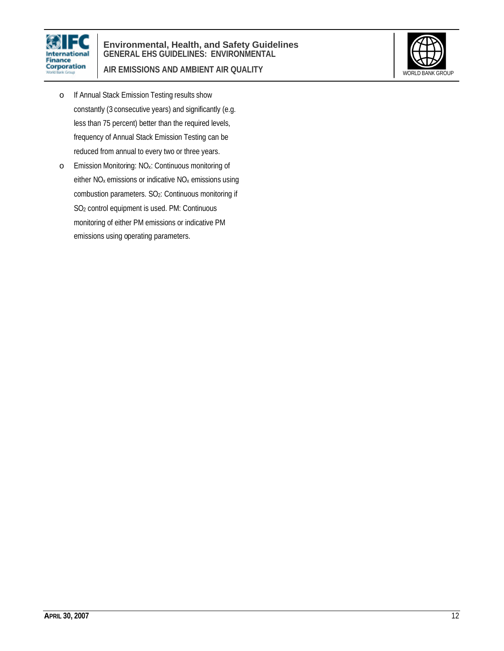

**AIR EMISSIONS AND AMBIENT AIR QUALITY**



- o If Annual Stack Emission Testing results show constantly (3 consecutive years) and significantly (e.g. less than 75 percent) better than the required levels, frequency of Annual Stack Emission Testing can be reduced from annual to every two or three years.
- o Emission Monitoring: NOx: Continuous monitoring of either  $NO<sub>x</sub>$  emissions or indicative  $NO<sub>x</sub>$  emissions using combustion parameters. SO<sub>2</sub>: Continuous monitoring if SO2 control equipment is used. PM: Continuous monitoring of either PM emissions or indicative PM emissions using operating parameters.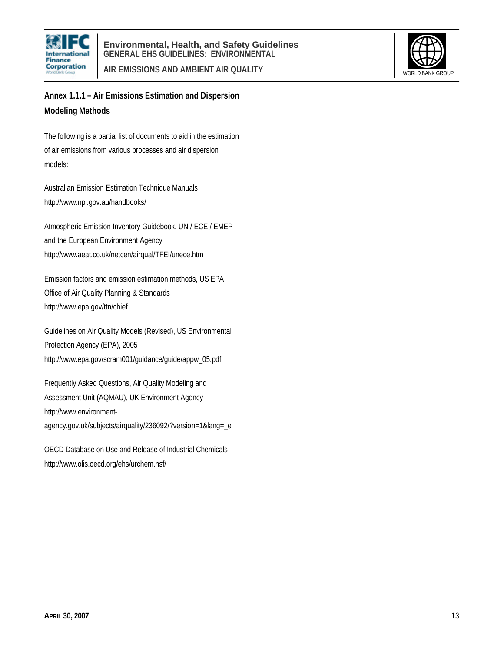

**AIR EMISSIONS AND AMBIENT AIR QUALITY**



### **Annex 1.1.1 – Air Emissions Estimation and Dispersion Modeling Methods**

The following is a partial list of documents to aid in the estimation of air emissions from various processes and air dispersion models:

Australian Emission Estimation Technique Manuals http://www.npi.gov.au/handbooks/

Atmospheric Emission Inventory Guidebook, UN / ECE / EMEP and the European Environment Agency http://www.aeat.co.uk/netcen/airqual/TFEI/unece.htm

Emission factors and emission estimation methods, US EPA Office of Air Quality Planning & Standards http://www.epa.gov/ttn/chief

Guidelines on Air Quality Models (Revised), US Environmental Protection Agency (EPA), 2005 http://www.epa.gov/scram001/guidance/guide/appw\_05.pdf

Frequently Asked Questions, Air Quality Modeling and Assessment Unit (AQMAU), UK Environment Agency http://www.environmentagency.gov.uk/subjects/airquality/236092/?version=1&lang=\_e

OECD Database on Use and Release of Industrial Chemicals http://www.olis.oecd.org/ehs/urchem.nsf/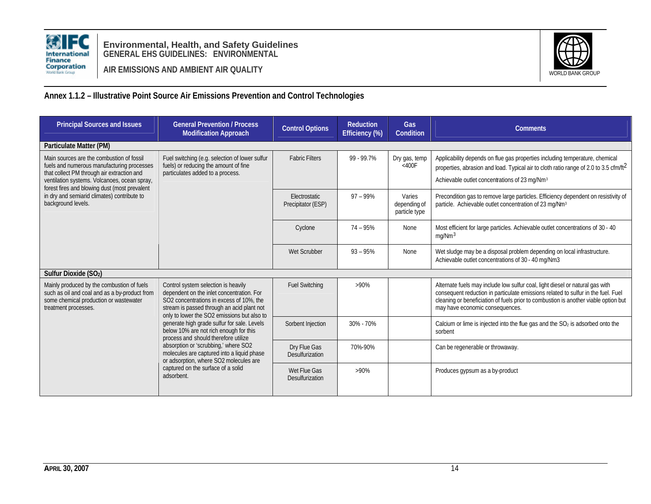



**AIR EMISSIONS AND AMBIENT AIR QUALITY**

#### **Annex 1.1.2 – Illustrative Point Source Air Emissions Prevention and Control Technologies**

| <b>Principal Sources and Issues</b>                                                                                                                                                                                                                                                                         | <b>General Prevention / Process</b><br><b>Modification Approach</b>                                                                                                                                                                                                                                                                                                                                                                                                                                                                            | <b>Control Options</b>                     | Reduction<br>Efficiency (%) | Gas<br><b>Condition</b>                 | <b>Comments</b>                                                                                                                                                                                                                                                                              |
|-------------------------------------------------------------------------------------------------------------------------------------------------------------------------------------------------------------------------------------------------------------------------------------------------------------|------------------------------------------------------------------------------------------------------------------------------------------------------------------------------------------------------------------------------------------------------------------------------------------------------------------------------------------------------------------------------------------------------------------------------------------------------------------------------------------------------------------------------------------------|--------------------------------------------|-----------------------------|-----------------------------------------|----------------------------------------------------------------------------------------------------------------------------------------------------------------------------------------------------------------------------------------------------------------------------------------------|
| Particulate Matter (PM)                                                                                                                                                                                                                                                                                     |                                                                                                                                                                                                                                                                                                                                                                                                                                                                                                                                                |                                            |                             |                                         |                                                                                                                                                                                                                                                                                              |
| Main sources are the combustion of fossil<br>fuels and numerous manufacturing processes<br>that collect PM through air extraction and<br>ventilation systems. Volcanoes, ocean spray,<br>forest fires and blowing dust (most prevalent<br>in dry and semiarid climates) contribute to<br>background levels. | Fuel switching (e.g. selection of lower sulfur<br>fuels) or reducing the amount of fine<br>particulates added to a process.                                                                                                                                                                                                                                                                                                                                                                                                                    | <b>Fabric Filters</b>                      | 99 - 99.7%                  | Dry gas, temp<br>$<$ 400 $F$            | Applicability depends on flue gas properties including temperature, chemical<br>properties, abrasion and load. Typical air to cloth ratio range of 2.0 to 3.5 cfm/ft <sup>2</sup><br>Achievable outlet concentrations of 23 mg/Nm <sup>3</sup>                                               |
|                                                                                                                                                                                                                                                                                                             |                                                                                                                                                                                                                                                                                                                                                                                                                                                                                                                                                | <b>Electrostatic</b><br>Precipitator (ESP) | $97 - 99%$                  | Varies<br>depending of<br>particle type | Precondition gas to remove large particles. Efficiency dependent on resistivity of<br>particle. Achievable outlet concentration of 23 mg/Nm <sup>3</sup>                                                                                                                                     |
|                                                                                                                                                                                                                                                                                                             |                                                                                                                                                                                                                                                                                                                                                                                                                                                                                                                                                | Cyclone                                    | $74 - 95%$                  | None                                    | Most efficient for large particles. Achievable outlet concentrations of 30 - 40<br>mq/Nm <sup>3</sup>                                                                                                                                                                                        |
|                                                                                                                                                                                                                                                                                                             |                                                                                                                                                                                                                                                                                                                                                                                                                                                                                                                                                | Wet Scrubber                               | $93 - 95%$                  | None                                    | Wet sludge may be a disposal problem depending on local infrastructure.<br>Achievable outlet concentrations of 30 - 40 mg/Nm3                                                                                                                                                                |
| Sulfur Dioxide (SO2)                                                                                                                                                                                                                                                                                        |                                                                                                                                                                                                                                                                                                                                                                                                                                                                                                                                                |                                            |                             |                                         |                                                                                                                                                                                                                                                                                              |
| Mainly produced by the combustion of fuels<br>such as oil and coal and as a by-product from<br>some chemical production or wastewater<br>treatment processes.                                                                                                                                               | Control system selection is heavily<br>dependent on the inlet concentration. For<br>SO2 concentrations in excess of 10%, the<br>stream is passed through an acid plant not<br>only to lower the SO2 emissions but also to<br>generate high grade sulfur for sale. Levels<br>below 10% are not rich enough for this<br>process and should therefore utilize<br>absorption or 'scrubbing,' where SO2<br>molecules are captured into a liquid phase<br>or adsorption, where SO2 molecules are<br>captured on the surface of a solid<br>adsorbent. | <b>Fuel Switching</b>                      | $>90\%$                     |                                         | Alternate fuels may include low sulfur coal, light diesel or natural gas with<br>consequent reduction in particulate emissions related to sulfur in the fuel. Fuel<br>cleaning or beneficiation of fuels prior to combustion is another viable option but<br>may have economic consequences. |
|                                                                                                                                                                                                                                                                                                             |                                                                                                                                                                                                                                                                                                                                                                                                                                                                                                                                                | Sorbent Injection                          | 30% - 70%                   |                                         | Calcium or lime is injected into the flue gas and the $SO2$ is adsorbed onto the<br>sorbent                                                                                                                                                                                                  |
|                                                                                                                                                                                                                                                                                                             |                                                                                                                                                                                                                                                                                                                                                                                                                                                                                                                                                | Dry Flue Gas<br><b>Desulfurization</b>     | 70%-90%                     |                                         | Can be regenerable or throwaway.                                                                                                                                                                                                                                                             |
|                                                                                                                                                                                                                                                                                                             |                                                                                                                                                                                                                                                                                                                                                                                                                                                                                                                                                | Wet Flue Gas<br>Desulfurization            | $>90\%$                     |                                         | Produces gypsum as a by-product                                                                                                                                                                                                                                                              |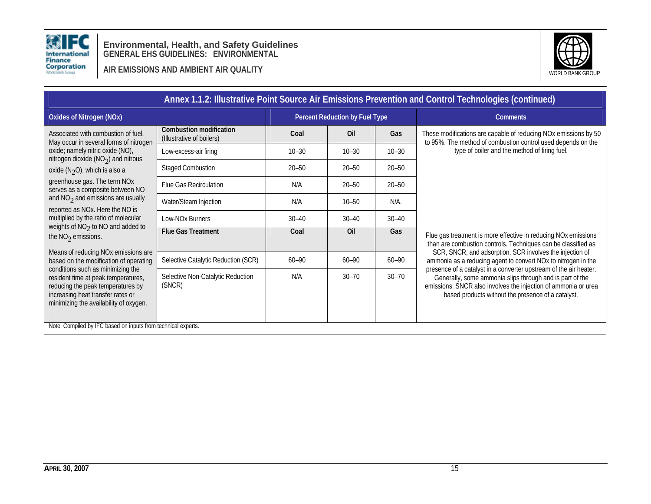



**AIR EMISSIONS AND AMBIENT AIR QUALITY**

| Annex 1.1.2: Illustrative Point Source Air Emissions Prevention and Control Technologies (continued)                                                                                                                                                                                                                                                                                                                                                                     |                                                             |           |                                |           |                                                                                                                                                                                                                                                       |
|--------------------------------------------------------------------------------------------------------------------------------------------------------------------------------------------------------------------------------------------------------------------------------------------------------------------------------------------------------------------------------------------------------------------------------------------------------------------------|-------------------------------------------------------------|-----------|--------------------------------|-----------|-------------------------------------------------------------------------------------------------------------------------------------------------------------------------------------------------------------------------------------------------------|
| <b>Oxides of Nitrogen (NOx)</b>                                                                                                                                                                                                                                                                                                                                                                                                                                          |                                                             |           | Percent Reduction by Fuel Type |           | <b>Comments</b>                                                                                                                                                                                                                                       |
| Associated with combustion of fuel.<br>May occur in several forms of nitrogen<br>oxide; namely nitric oxide (NO),<br>nitrogen dioxide ( $NO2$ ) and nitrous                                                                                                                                                                                                                                                                                                              | <b>Combustion modification</b><br>(Illustrative of boilers) | Coal      | Oil                            | Gas       | These modifications are capable of reducing NOx emissions by 50<br>to 95%. The method of combustion control used depends on the                                                                                                                       |
|                                                                                                                                                                                                                                                                                                                                                                                                                                                                          | Low-excess-air firing                                       | $10 - 30$ | $10 - 30$                      | $10 - 30$ | type of boiler and the method of firing fuel.                                                                                                                                                                                                         |
| oxide ( $N2O$ ), which is also a                                                                                                                                                                                                                                                                                                                                                                                                                                         | <b>Staged Combustion</b>                                    | $20 - 50$ | $20 - 50$                      | $20 - 50$ |                                                                                                                                                                                                                                                       |
| greenhouse gas. The term NOx<br>serves as a composite between NO                                                                                                                                                                                                                                                                                                                                                                                                         | Flue Gas Recirculation                                      | N/A       | $20 - 50$                      | $20 - 50$ |                                                                                                                                                                                                                                                       |
| and $NO2$ and emissions are usually<br>reported as NOx. Here the NO is<br>multiplied by the ratio of molecular<br>weights of NO <sub>2</sub> to NO and added to<br>the $NO2$ emissions.<br>Means of reducing NOx emissions are<br>based on the modification of operating<br>conditions such as minimizing the<br>resident time at peak temperatures,<br>reducing the peak temperatures by<br>increasing heat transfer rates or<br>minimizing the availability of oxygen. | Water/Steam Injection                                       | N/A       | $10 - 50$                      | N/A.      |                                                                                                                                                                                                                                                       |
|                                                                                                                                                                                                                                                                                                                                                                                                                                                                          | Low-NOx Burners                                             | $30 - 40$ | $30 - 40$                      | $30 - 40$ |                                                                                                                                                                                                                                                       |
|                                                                                                                                                                                                                                                                                                                                                                                                                                                                          | <b>Flue Gas Treatment</b>                                   | Coal      | Oil                            | Gas       | Flue gas treatment is more effective in reducing NOx emissions<br>than are combustion controls. Techniques can be classified as                                                                                                                       |
|                                                                                                                                                                                                                                                                                                                                                                                                                                                                          | Selective Catalytic Reduction (SCR)                         | $60 - 90$ | $60 - 90$                      | $60 - 90$ | SCR, SNCR, and adsorption. SCR involves the injection of<br>ammonia as a reducing agent to convert NOx to nitrogen in the                                                                                                                             |
|                                                                                                                                                                                                                                                                                                                                                                                                                                                                          | Selective Non-Catalytic Reduction<br>(SNCR)                 | N/A       | $30 - 70$                      | $30 - 70$ | presence of a catalyst in a converter upstream of the air heater.<br>Generally, some ammonia slips through and is part of the<br>emissions. SNCR also involves the injection of ammonia or urea<br>based products without the presence of a catalyst. |
| Note: Compiled by IFC based on inputs from technical experts.                                                                                                                                                                                                                                                                                                                                                                                                            |                                                             |           |                                |           |                                                                                                                                                                                                                                                       |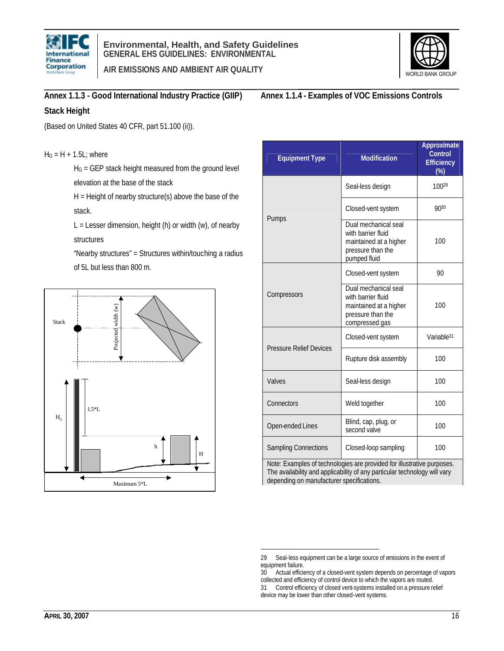





#### **Annex 1.1.3 - Good International Industry Practice (GIIP)**

**Annex 1.1.4 - Examples of VOC Emissions Controls**

#### **Stack Height**

(Based on United States 40 CFR, part 51.100 (ii)).

 $H<sub>G</sub> = H + 1.5L$ ; where

HG = GEP stack height measured from the ground level elevation at the base of the stack

 $H =$  Height of nearby structure(s) above the base of the stack.

 $L =$  Lesser dimension, height (h) or width (w), of nearby structures

"Nearby structures" = Structures within/touching a radius of 5L but less than 800 m.



| <b>Equipment Type</b>                                                                                                                               | <b>Modification</b>                                                                                         | Approximate<br><b>Control</b><br><b>Efficiency</b><br>$(\%)$ |  |  |
|-----------------------------------------------------------------------------------------------------------------------------------------------------|-------------------------------------------------------------------------------------------------------------|--------------------------------------------------------------|--|--|
|                                                                                                                                                     | Seal-less design                                                                                            | 10029                                                        |  |  |
| Pumps                                                                                                                                               | Closed-vent system                                                                                          | $90^{30}$                                                    |  |  |
|                                                                                                                                                     | Dual mechanical seal<br>with barrier fluid<br>maintained at a higher<br>pressure than the<br>pumped fluid   | 100                                                          |  |  |
|                                                                                                                                                     | Closed-vent system                                                                                          | 90                                                           |  |  |
| Compressors                                                                                                                                         | Dual mechanical seal<br>with barrier fluid<br>maintained at a higher<br>pressure than the<br>compressed gas | 100                                                          |  |  |
|                                                                                                                                                     | Closed-vent system                                                                                          | Variable <sup>31</sup>                                       |  |  |
| <b>Pressure Relief Devices</b>                                                                                                                      | Rupture disk assembly                                                                                       | 100                                                          |  |  |
| Valves                                                                                                                                              | Seal-less design                                                                                            | 100                                                          |  |  |
| Connectors                                                                                                                                          | Weld together                                                                                               | 100                                                          |  |  |
| Open-ended Lines                                                                                                                                    | Blind, cap, plug, or<br>second valve                                                                        | 100                                                          |  |  |
| <b>Sampling Connections</b>                                                                                                                         | Closed-loop sampling                                                                                        | 100                                                          |  |  |
| Note: Examples of technologies are provided for illustrative purposes.<br>The availability and applicability of any particular technology will vary |                                                                                                             |                                                              |  |  |

depending on manufacturer specifications.

 $\overline{a}$ 29 Seal-less equipment can be a large source of emissions in the event of equipment failure.

<sup>30</sup> Actual efficiency of a closed-vent system depends on percentage of vapors collected and efficiency of control device to which the vapors are routed.

<sup>31</sup> Control efficiency of closed vent-systems installed on a pressure relief device may be lower than other closed-vent systems.